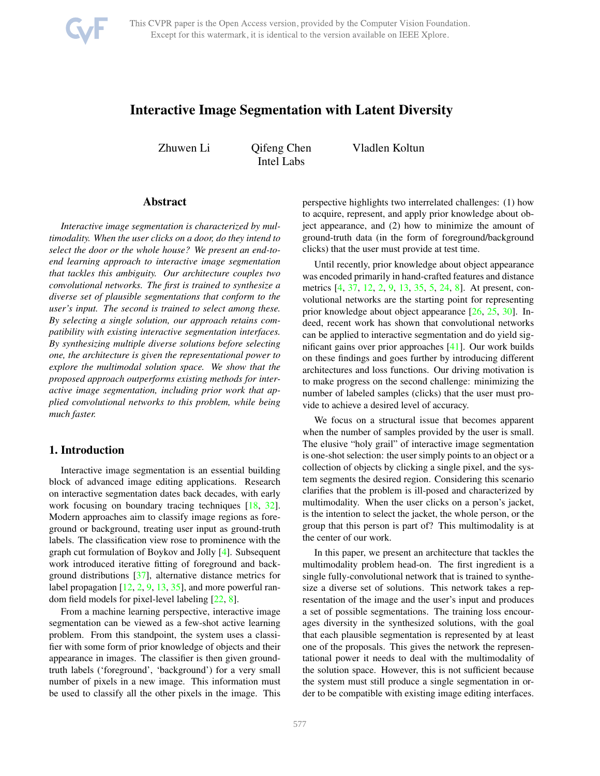<span id="page-0-0"></span>

# Interactive Image Segmentation with Latent Diversity

Zhuwen Li Qifeng Chen Intel Labs

Vladlen Koltun

### Abstract

*Interactive image segmentation is characterized by multimodality. When the user clicks on a door, do they intend to select the door or the whole house? We present an end-toend learning approach to interactive image segmentation that tackles this ambiguity. Our architecture couples two convolutional networks. The first is trained to synthesize a diverse set of plausible segmentations that conform to the user's input. The second is trained to select among these. By selecting a single solution, our approach retains compatibility with existing interactive segmentation interfaces. By synthesizing multiple diverse solutions before selecting one, the architecture is given the representational power to explore the multimodal solution space. We show that the proposed approach outperforms existing methods for interactive image segmentation, including prior work that applied convolutional networks to this problem, while being much faster.*

# 1. Introduction

Interactive image segmentation is an essential building block of advanced image editing applications. Research on interactive segmentation dates back decades, with early work focusing on boundary tracing techniques [\[18,](#page-8-0) [32\]](#page-8-1). Modern approaches aim to classify image regions as foreground or background, treating user input as ground-truth labels. The classification view rose to prominence with the graph cut formulation of Boykov and Jolly [\[4\]](#page-8-2). Subsequent work introduced iterative fitting of foreground and background distributions [\[37\]](#page-8-3), alternative distance metrics for label propagation [\[12,](#page-8-4) [2,](#page-7-0) [9,](#page-8-5) [13,](#page-8-6) [35\]](#page-8-7), and more powerful random field models for pixel-level labeling [\[22,](#page-8-8) [8\]](#page-8-9).

From a machine learning perspective, interactive image segmentation can be viewed as a few-shot active learning problem. From this standpoint, the system uses a classifier with some form of prior knowledge of objects and their appearance in images. The classifier is then given groundtruth labels ('foreground', 'background') for a very small number of pixels in a new image. This information must be used to classify all the other pixels in the image. This perspective highlights two interrelated challenges: (1) how to acquire, represent, and apply prior knowledge about object appearance, and (2) how to minimize the amount of ground-truth data (in the form of foreground/background clicks) that the user must provide at test time.

Until recently, prior knowledge about object appearance was encoded primarily in hand-crafted features and distance metrics [\[4,](#page-8-2) [37,](#page-8-3) [12,](#page-8-4) [2,](#page-7-0) [9,](#page-8-5) [13,](#page-8-6) [35,](#page-8-7) [5,](#page-8-10) [24,](#page-8-11) [8\]](#page-8-9). At present, convolutional networks are the starting point for representing prior knowledge about object appearance [\[26,](#page-8-12) [25,](#page-8-13) [30\]](#page-8-14). Indeed, recent work has shown that convolutional networks can be applied to interactive segmentation and do yield significant gains over prior approaches [\[41\]](#page-8-15). Our work builds on these findings and goes further by introducing different architectures and loss functions. Our driving motivation is to make progress on the second challenge: minimizing the number of labeled samples (clicks) that the user must provide to achieve a desired level of accuracy.

We focus on a structural issue that becomes apparent when the number of samples provided by the user is small. The elusive "holy grail" of interactive image segmentation is one-shot selection: the user simply points to an object or a collection of objects by clicking a single pixel, and the system segments the desired region. Considering this scenario clarifies that the problem is ill-posed and characterized by multimodality. When the user clicks on a person's jacket, is the intention to select the jacket, the whole person, or the group that this person is part of? This multimodality is at the center of our work.

In this paper, we present an architecture that tackles the multimodality problem head-on. The first ingredient is a single fully-convolutional network that is trained to synthesize a diverse set of solutions. This network takes a representation of the image and the user's input and produces a set of possible segmentations. The training loss encourages diversity in the synthesized solutions, with the goal that each plausible segmentation is represented by at least one of the proposals. This gives the network the representational power it needs to deal with the multimodality of the solution space. However, this is not sufficient because the system must still produce a single segmentation in order to be compatible with existing image editing interfaces.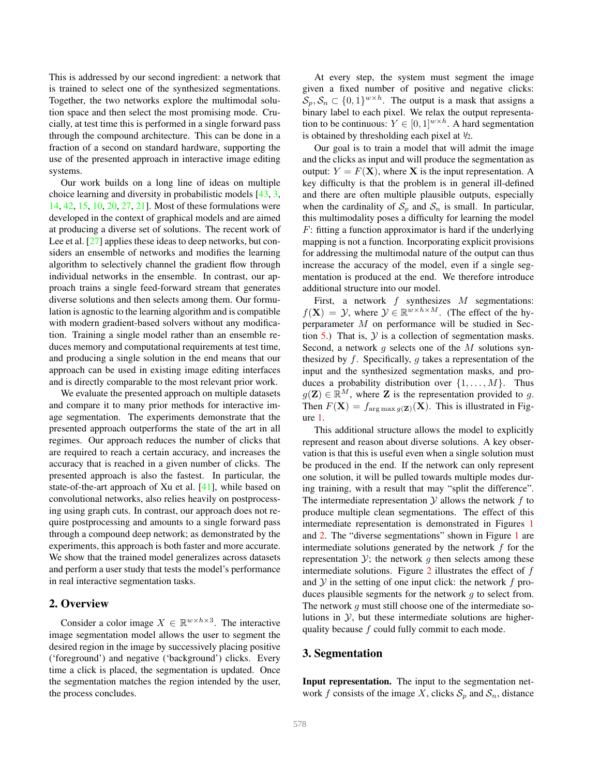<span id="page-1-1"></span>This is addressed by our second ingredient: a network that is trained to select one of the synthesized segmentations. Together, the two networks explore the multimodal solution space and then select the most promising mode. Crucially, at test time this is performed in a single forward pass through the compound architecture. This can be done in a fraction of a second on standard hardware, supporting the use of the presented approach in interactive image editing systems.

Our work builds on a long line of ideas on multiple choice learning and diversity in probabilistic models [\[43,](#page-8-16) [3,](#page-7-1) [14,](#page-8-17) [42,](#page-8-18) [15,](#page-8-19) [10,](#page-8-20) [20,](#page-8-21) [27,](#page-8-22) [21\]](#page-8-23). Most of these formulations were developed in the context of graphical models and are aimed at producing a diverse set of solutions. The recent work of Lee et al. [\[27\]](#page-8-22) applies these ideas to deep networks, but considers an ensemble of networks and modifies the learning algorithm to selectively channel the gradient flow through individual networks in the ensemble. In contrast, our approach trains a single feed-forward stream that generates diverse solutions and then selects among them. Our formulation is agnostic to the learning algorithm and is compatible with modern gradient-based solvers without any modification. Training a single model rather than an ensemble reduces memory and computational requirements at test time, and producing a single solution in the end means that our approach can be used in existing image editing interfaces and is directly comparable to the most relevant prior work.

We evaluate the presented approach on multiple datasets and compare it to many prior methods for interactive image segmentation. The experiments demonstrate that the presented approach outperforms the state of the art in all regimes. Our approach reduces the number of clicks that are required to reach a certain accuracy, and increases the accuracy that is reached in a given number of clicks. The presented approach is also the fastest. In particular, the state-of-the-art approach of Xu et al. [\[41\]](#page-8-15), while based on convolutional networks, also relies heavily on postprocessing using graph cuts. In contrast, our approach does not require postprocessing and amounts to a single forward pass through a compound deep network; as demonstrated by the experiments, this approach is both faster and more accurate. We show that the trained model generalizes across datasets and perform a user study that tests the model's performance in real interactive segmentation tasks.

## 2. Overview

Consider a color image  $X \in \mathbb{R}^{w \times h \times 3}$ . The interactive image segmentation model allows the user to segment the desired region in the image by successively placing positive ('foreground') and negative ('background') clicks. Every time a click is placed, the segmentation is updated. Once the segmentation matches the region intended by the user, the process concludes.

At every step, the system must segment the image given a fixed number of positive and negative clicks:  $\mathcal{S}_p, \mathcal{S}_n \subset \{0,1\}^{w \times h}$ . The output is a mask that assigns a binary label to each pixel. We relax the output representation to be continuous:  $Y \in [0,1]^{w \times h}$ . A hard segmentation is obtained by thresholding each pixel at 1/2.

Our goal is to train a model that will admit the image and the clicks as input and will produce the segmentation as output:  $Y = F(X)$ , where X is the input representation. A key difficulty is that the problem is in general ill-defined and there are often multiple plausible outputs, especially when the cardinality of  $S_p$  and  $S_n$  is small. In particular, this multimodality poses a difficulty for learning the model  $F$ : fitting a function approximator is hard if the underlying mapping is not a function. Incorporating explicit provisions for addressing the multimodal nature of the output can thus increase the accuracy of the model, even if a single segmentation is produced at the end. We therefore introduce additional structure into our model.

First, a network  $f$  synthesizes  $M$  segmentations:  $f(\mathbf{X}) = \mathcal{Y}$ , where  $\mathcal{Y} \in \mathbb{R}^{w \times h \times M}$ . (The effect of the hyperparameter  $M$  on performance will be studied in Sec-tion [5.](#page-4-0)) That is,  $\mathcal Y$  is a collection of segmentation masks. Second, a network  $g$  selects one of the  $M$  solutions synthesized by f. Specifically, q takes a representation of the input and the synthesized segmentation masks, and produces a probability distribution over  $\{1, \ldots, M\}$ . Thus  $g(\mathbf{Z}) \in \mathbb{R}^M$ , where **Z** is the representation provided to g. Then  $F(\mathbf{X}) = f_{\arg \max q(\mathbf{Z})}(\mathbf{X})$ . This is illustrated in Figure [1.](#page-2-0)

This additional structure allows the model to explicitly represent and reason about diverse solutions. A key observation is that this is useful even when a single solution must be produced in the end. If the network can only represent one solution, it will be pulled towards multiple modes during training, with a result that may "split the difference". The intermediate representation  $Y$  allows the network  $f$  to produce multiple clean segmentations. The effect of this intermediate representation is demonstrated in Figures [1](#page-2-0) and [2.](#page-3-0) The "diverse segmentations" shown in Figure [1](#page-2-0) are intermediate solutions generated by the network  $f$  for the representation  $\mathcal{Y}$ ; the network g then selects among these intermediate solutions. Figure  $2$  illustrates the effect of  $f$ and  $Y$  in the setting of one input click: the network  $f$  produces plausible segments for the network  $q$  to select from. The network q must still choose one of the intermediate solutions in  $\mathcal{Y}$ , but these intermediate solutions are higherquality because  $f$  could fully commit to each mode.

#### <span id="page-1-0"></span>3. Segmentation

Input representation. The input to the segmentation network f consists of the image X, clicks  $S_p$  and  $S_n$ , distance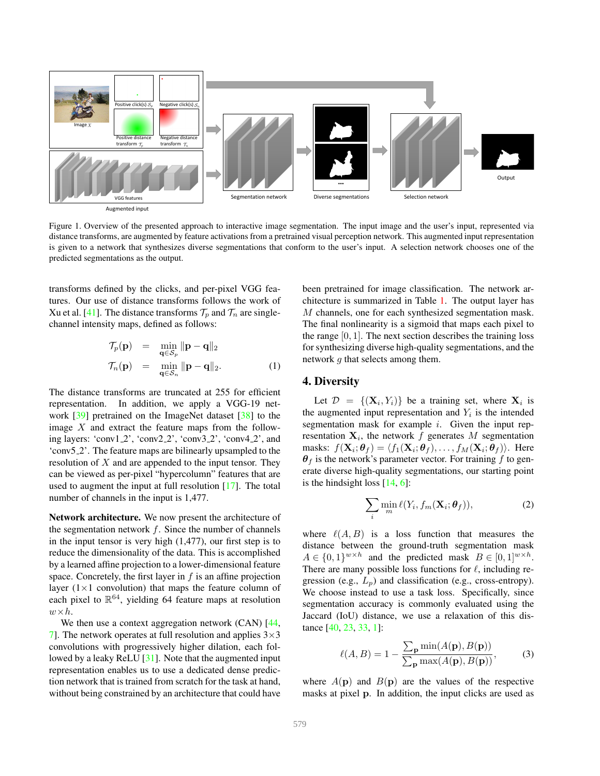<span id="page-2-1"></span>

Figure 1. Overview of the presented approach to interactive image segmentation. The input image and the user's input, represented via distance transforms, are augmented by feature activations from a pretrained visual perception network. This augmented input representation is given to a network that synthesizes diverse segmentations that conform to the user's input. A selection network chooses one of the predicted segmentations as the output.

transforms defined by the clicks, and per-pixel VGG features. Our use of distance transforms follows the work of Xu et al. [\[41\]](#page-8-15). The distance transforms  $\mathcal{T}_p$  and  $\mathcal{T}_n$  are singlechannel intensity maps, defined as follows:

$$
\mathcal{T}_p(\mathbf{p}) = \min_{\mathbf{q} \in \mathcal{S}_p} \|\mathbf{p} - \mathbf{q}\|_2
$$
  

$$
\mathcal{T}_n(\mathbf{p}) = \min_{\mathbf{q} \in \mathcal{S}_n} \|\mathbf{p} - \mathbf{q}\|_2.
$$
 (1)

The distance transforms are truncated at 255 for efficient representation. In addition, we apply a VGG-19 network [\[39\]](#page-8-24) pretrained on the ImageNet dataset [\[38\]](#page-8-25) to the image  $X$  and extract the feature maps from the following layers: 'conv1 2', 'conv2 2', 'conv3 2', 'conv4 2', and 'conv5 2'. The feature maps are bilinearly upsampled to the resolution of  $X$  and are appended to the input tensor. They can be viewed as per-pixel "hypercolumn" features that are used to augment the input at full resolution [\[17\]](#page-8-26). The total number of channels in the input is 1,477.

Network architecture. We now present the architecture of the segmentation network  $f$ . Since the number of channels in the input tensor is very high (1,477), our first step is to reduce the dimensionality of the data. This is accomplished by a learned affine projection to a lower-dimensional feature space. Concretely, the first layer in  $f$  is an affine projection layer  $(1 \times 1$  convolution) that maps the feature column of each pixel to  $\mathbb{R}^{64}$ , yielding 64 feature maps at resolution  $w \times h$ .

We then use a context aggregation network (CAN) [\[44,](#page-8-27) [7\]](#page-8-28). The network operates at full resolution and applies  $3\times3$ convolutions with progressively higher dilation, each followed by a leaky ReLU [\[31\]](#page-8-29). Note that the augmented input representation enables us to use a dedicated dense prediction network that is trained from scratch for the task at hand, without being constrained by an architecture that could have <span id="page-2-0"></span>been pretrained for image classification. The network architecture is summarized in Table [1.](#page-4-1) The output layer has M channels, one for each synthesized segmentation mask. The final nonlinearity is a sigmoid that maps each pixel to the range  $[0, 1]$ . The next section describes the training loss for synthesizing diverse high-quality segmentations, and the network q that selects among them.

# 4. Diversity

Let  $\mathcal{D} = \{(\mathbf{X}_i, Y_i)\}\$  be a training set, where  $\mathbf{X}_i$  is the augmented input representation and  $Y_i$  is the intended segmentation mask for example  $i$ . Given the input representation  $X_i$ , the network f generates M segmentation masks:  $f(\mathbf{X}_i; \boldsymbol{\theta}_f) = \langle f_1(\mathbf{X}_i; \boldsymbol{\theta}_f), \dots, f_M(\mathbf{X}_i; \boldsymbol{\theta}_f) \rangle$ . Here  $\theta_f$  is the network's parameter vector. For training f to generate diverse high-quality segmentations, our starting point is the hindsight loss  $[14, 6]$  $[14, 6]$  $[14, 6]$ :

$$
\sum_{i} \min_{m} \ell(Y_i, f_m(\mathbf{X}_i; \boldsymbol{\theta}_f)),
$$
\n(2)

where  $\ell(A, B)$  is a loss function that measures the distance between the ground-truth segmentation mask  $A \in \{0,1\}^{w \times h}$  and the predicted mask  $B \in [0,1]^{w \times h}$ . There are many possible loss functions for  $\ell$ , including regression (e.g.,  $L_p$ ) and classification (e.g., cross-entropy). We choose instead to use a task loss. Specifically, since segmentation accuracy is commonly evaluated using the Jaccard (IoU) distance, we use a relaxation of this distance [\[40,](#page-8-31) [23,](#page-8-32) [33,](#page-8-33) [1\]](#page-7-2):

$$
\ell(A, B) = 1 - \frac{\sum_{\mathbf{p}} \min(A(\mathbf{p}), B(\mathbf{p}))}{\sum_{\mathbf{p}} \max(A(\mathbf{p}), B(\mathbf{p}))},
$$
(3)

where  $A(\mathbf{p})$  and  $B(\mathbf{p})$  are the values of the respective masks at pixel p. In addition, the input clicks are used as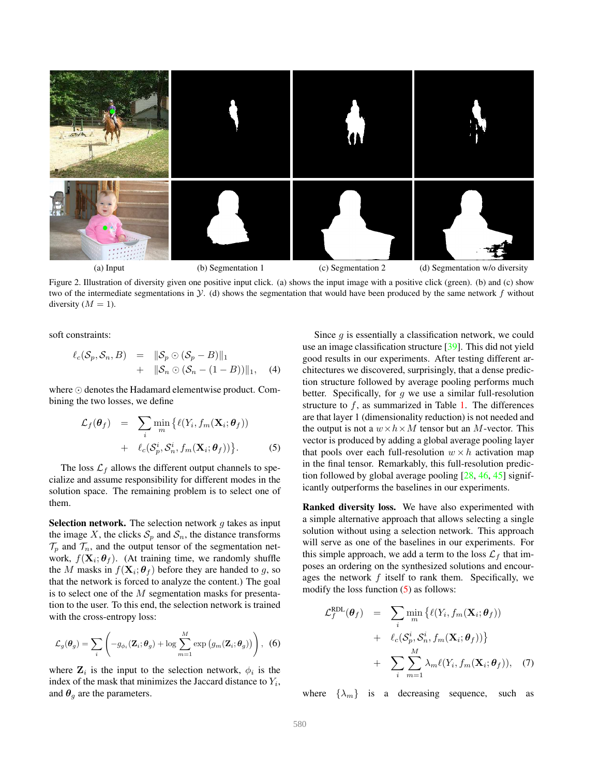<span id="page-3-4"></span>

Figure 2. Illustration of diversity given one positive input click. (a) shows the input image with a positive click (green). (b) and (c) show two of the intermediate segmentations in  $Y$ . (d) shows the segmentation that would have been produced by the same network  $f$  without diversity  $(M = 1)$ .

soft constraints:

<span id="page-3-2"></span>
$$
\ell_c(\mathcal{S}_p, \mathcal{S}_n, B) = \|\mathcal{S}_p \odot (\mathcal{S}_p - B)\|_1
$$
  
+ 
$$
\|\mathcal{S}_n \odot (\mathcal{S}_n - (1 - B))\|_1, \quad (4)
$$

where ⊙ denotes the Hadamard elementwise product. Combining the two losses, we define

<span id="page-3-1"></span>
$$
\mathcal{L}_f(\boldsymbol{\theta}_f) = \sum_i \min_m \{ \ell(Y_i, f_m(\mathbf{X}_i; \boldsymbol{\theta}_f)) + \ell_c(\mathcal{S}_p^i, \mathcal{S}_n^i, f_m(\mathbf{X}_i; \boldsymbol{\theta}_f)) \}.
$$
\n(5)

The loss  $\mathcal{L}_f$  allows the different output channels to specialize and assume responsibility for different modes in the solution space. The remaining problem is to select one of them.

**Selection network.** The selection network  $g$  takes as input the image X, the clicks  $S_p$  and  $S_n$ , the distance transforms  $\mathcal{T}_p$  and  $\mathcal{T}_n$ , and the output tensor of the segmentation network,  $f(\mathbf{X}_i; \theta_f)$ . (At training time, we randomly shuffle the M masks in  $f(\mathbf{X}_i; \theta_f)$  before they are handed to g, so that the network is forced to analyze the content.) The goal is to select one of the  $M$  segmentation masks for presentation to the user. To this end, the selection network is trained with the cross-entropy loss:

$$
\mathcal{L}_g(\boldsymbol{\theta}_g) = \sum_i \left( -g_{\phi_i}(\mathbf{Z}_i; \boldsymbol{\theta}_g) + \log \sum_{m=1}^M \exp \left( g_m(\mathbf{Z}_i; \boldsymbol{\theta}_g) \right) \right), \tag{6}
$$

where  $\mathbf{Z}_i$  is the input to the selection network,  $\phi_i$  is the index of the mask that minimizes the Jaccard distance to  $Y_i$ , and  $\theta_g$  are the parameters.

<span id="page-3-0"></span>Since  $q$  is essentially a classification network, we could use an image classification structure [\[39\]](#page-8-24). This did not yield good results in our experiments. After testing different architectures we discovered, surprisingly, that a dense prediction structure followed by average pooling performs much better. Specifically, for  $g$  we use a similar full-resolution structure to  $f$ , as summarized in Table [1.](#page-4-1) The differences are that layer 1 (dimensionality reduction) is not needed and the output is not a  $w \times h \times M$  tensor but an M-vector. This vector is produced by adding a global average pooling layer that pools over each full-resolution  $w \times h$  activation map in the final tensor. Remarkably, this full-resolution prediction followed by global average pooling  $[28, 46, 45]$  $[28, 46, 45]$  $[28, 46, 45]$  $[28, 46, 45]$  $[28, 46, 45]$  significantly outperforms the baselines in our experiments.

Ranked diversity loss. We have also experimented with a simple alternative approach that allows selecting a single solution without using a selection network. This approach will serve as one of the baselines in our experiments. For this simple approach, we add a term to the loss  $\mathcal{L}_f$  that imposes an ordering on the synthesized solutions and encourages the network  $f$  itself to rank them. Specifically, we modify the loss function [\(5\)](#page-3-1) as follows:

<span id="page-3-3"></span>
$$
\mathcal{L}_{f}^{\text{RDL}}(\theta_{f}) = \sum_{i} \min_{m} \{ \ell(Y_{i}, f_{m}(\mathbf{X}_{i}; \theta_{f})) + \ell_{c}(\mathcal{S}_{p}^{i}, \mathcal{S}_{n}^{i}, f_{m}(\mathbf{X}_{i}; \theta_{f})) \} + \sum_{i} \sum_{m=1}^{M} \lambda_{m} \ell(Y_{i}, f_{m}(\mathbf{X}_{i}; \theta_{f})), \quad (7)
$$

where  $\{\lambda_m\}$  is a decreasing sequence, such as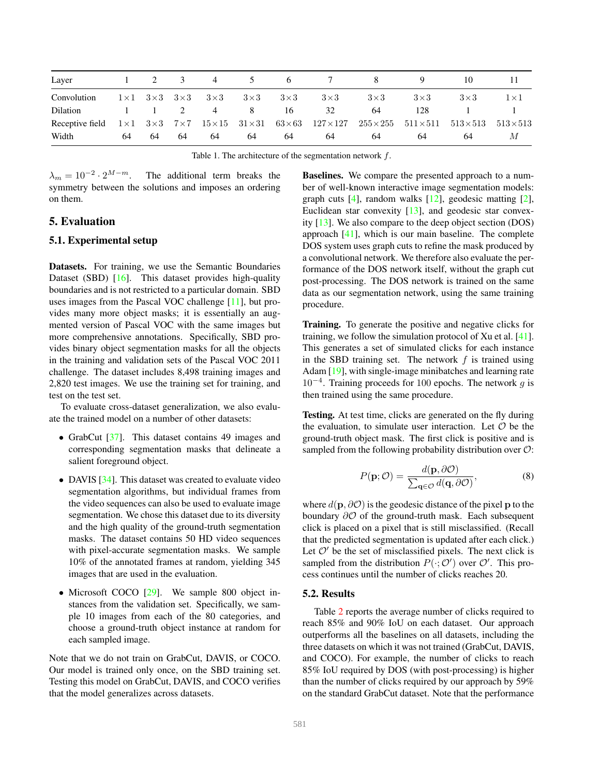<span id="page-4-2"></span>

| Layer           |    |    | $\overline{3}$ | 4                                           | 5          | 6          |                                                                                                                                        |            |            |                                   |            |
|-----------------|----|----|----------------|---------------------------------------------|------------|------------|----------------------------------------------------------------------------------------------------------------------------------------|------------|------------|-----------------------------------|------------|
| Convolution     |    |    |                | $1\times1$ $3\times3$ $3\times3$ $3\times3$ | $3\times3$ | $3\times3$ | $3\times3$                                                                                                                             | $3\times3$ | $3\times3$ | $3\times3$                        | $1\times1$ |
| Dilation        |    |    |                | 4                                           | 8          | 16         | 32                                                                                                                                     | 64         | 128        |                                   |            |
| Receptive field |    |    |                |                                             |            |            | $1 \times 1$ $3 \times 3$ $7 \times 7$ $15 \times 15$ $31 \times 31$ $63 \times 63$ $127 \times 127$ $255 \times 255$ $511 \times 511$ |            |            | $513 \times 513$ $513 \times 513$ |            |
| Width           | 64 | 64 | 64             | 64                                          | 64         | 64         | 64                                                                                                                                     | 64         | 64         | 64                                | M          |

Table 1. The architecture of the segmentation network  $f$ .

 $\lambda_m = 10^{-2} \cdot 2^{M-m}.$ The additional term breaks the symmetry between the solutions and imposes an ordering on them.

# <span id="page-4-0"></span>5. Evaluation

### 5.1. Experimental setup

Datasets. For training, we use the Semantic Boundaries Dataset (SBD) [\[16\]](#page-8-37). This dataset provides high-quality boundaries and is not restricted to a particular domain. SBD uses images from the Pascal VOC challenge [\[11\]](#page-8-38), but provides many more object masks; it is essentially an augmented version of Pascal VOC with the same images but more comprehensive annotations. Specifically, SBD provides binary object segmentation masks for all the objects in the training and validation sets of the Pascal VOC 2011 challenge. The dataset includes 8,498 training images and 2,820 test images. We use the training set for training, and test on the test set.

To evaluate cross-dataset generalization, we also evaluate the trained model on a number of other datasets:

- GrabCut [\[37\]](#page-8-3). This dataset contains 49 images and corresponding segmentation masks that delineate a salient foreground object.
- DAVIS [\[34\]](#page-8-39). This dataset was created to evaluate video segmentation algorithms, but individual frames from the video sequences can also be used to evaluate image segmentation. We chose this dataset due to its diversity and the high quality of the ground-truth segmentation masks. The dataset contains 50 HD video sequences with pixel-accurate segmentation masks. We sample 10% of the annotated frames at random, yielding 345 images that are used in the evaluation.
- Microsoft COCO [\[29\]](#page-8-40). We sample 800 object instances from the validation set. Specifically, we sample 10 images from each of the 80 categories, and choose a ground-truth object instance at random for each sampled image.

Note that we do not train on GrabCut, DAVIS, or COCO. Our model is trained only once, on the SBD training set. Testing this model on GrabCut, DAVIS, and COCO verifies that the model generalizes across datasets.

<span id="page-4-1"></span>Baselines. We compare the presented approach to a number of well-known interactive image segmentation models: graph cuts [\[4\]](#page-8-2), random walks [\[12\]](#page-8-4), geodesic matting [\[2\]](#page-7-0), Euclidean star convexity [\[13\]](#page-8-6), and geodesic star convexity [\[13\]](#page-8-6). We also compare to the deep object section (DOS) approach [\[41\]](#page-8-15), which is our main baseline. The complete DOS system uses graph cuts to refine the mask produced by a convolutional network. We therefore also evaluate the performance of the DOS network itself, without the graph cut post-processing. The DOS network is trained on the same data as our segmentation network, using the same training procedure.

Training. To generate the positive and negative clicks for training, we follow the simulation protocol of Xu et al. [\[41\]](#page-8-15). This generates a set of simulated clicks for each instance in the SBD training set. The network  $f$  is trained using Adam [\[19\]](#page-8-41), with single-image minibatches and learning rate 10<sup>−</sup><sup>4</sup> . Training proceeds for 100 epochs. The network g is then trained using the same procedure.

Testing. At test time, clicks are generated on the fly during the evaluation, to simulate user interaction. Let  $\mathcal O$  be the ground-truth object mask. The first click is positive and is sampled from the following probability distribution over  $\mathcal{O}$ :

$$
P(\mathbf{p}; \mathcal{O}) = \frac{d(\mathbf{p}, \partial \mathcal{O})}{\sum_{\mathbf{q} \in \mathcal{O}} d(\mathbf{q}, \partial \mathcal{O})},
$$
(8)

where  $d(\mathbf{p}, \partial \mathcal{O})$  is the geodesic distance of the pixel p to the boundary  $\partial O$  of the ground-truth mask. Each subsequent click is placed on a pixel that is still misclassified. (Recall that the predicted segmentation is updated after each click.) Let  $\mathcal{O}'$  be the set of misclassified pixels. The next click is sampled from the distribution  $P(\cdot; \mathcal{O}')$  over  $\mathcal{O}'$ . This process continues until the number of clicks reaches 20.

#### 5.2. Results

Table [2](#page-5-0) reports the average number of clicks required to reach 85% and 90% IoU on each dataset. Our approach outperforms all the baselines on all datasets, including the three datasets on which it was not trained (GrabCut, DAVIS, and COCO). For example, the number of clicks to reach 85% IoU required by DOS (with post-processing) is higher than the number of clicks required by our approach by 59% on the standard GrabCut dataset. Note that the performance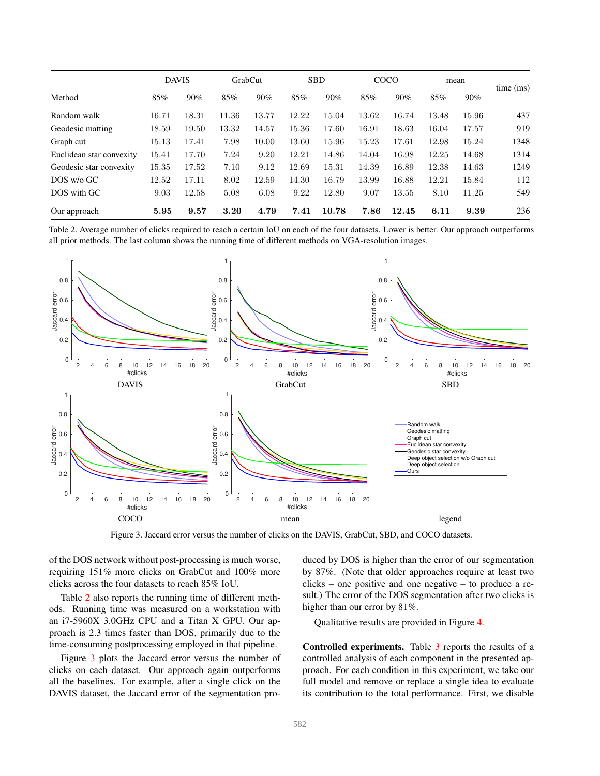|                          | <b>DAVIS</b> |       | GrabCut |       | <b>SBD</b> |       | COCO  |       | mean  |        | time (ms) |
|--------------------------|--------------|-------|---------|-------|------------|-------|-------|-------|-------|--------|-----------|
| Method                   | 85%          | 90%   | 85%     | 90%   | 85%        | 90%   | 85%   | 90%   | 85%   | $90\%$ |           |
| Random walk              | 16.71        | 18.31 | 11.36   | 13.77 | 12.22      | 15.04 | 13.62 | 16.74 | 13.48 | 15.96  | 437       |
| Geodesic matting         | 18.59        | 19.50 | 13.32   | 14.57 | 15.36      | 17.60 | 16.91 | 18.63 | 16.04 | 17.57  | 919       |
| Graph cut                | 15.13        | 17.41 | 7.98    | 10.00 | 13.60      | 15.96 | 15.23 | 17.61 | 12.98 | 15.24  | 1348      |
| Euclidean star convexity | 15.41        | 17.70 | 7.24    | 9.20  | 12.21      | 14.86 | 14.04 | 16.98 | 12.25 | 14.68  | 1314      |
| Geodesic star convexity  | 15.35        | 17.52 | 7.10    | 9.12  | 12.69      | 15.31 | 14.39 | 16.89 | 12.38 | 14.63  | 1249      |
| $DOS$ w/o GC             | 12.52        | 17.11 | 8.02    | 12.59 | 14.30      | 16.79 | 13.99 | 16.88 | 12.21 | 15.84  | 112       |
| DOS with GC              | 9.03         | 12.58 | 5.08    | 6.08  | 9.22       | 12.80 | 9.07  | 13.55 | 8.10  | 11.25  | 549       |
| Our approach             | 5.95         | 9.57  | 3.20    | 4.79  | 7.41       | 10.78 | 7.86  | 12.45 | 6.11  | 9.39   | 236       |

Table 2. Average number of clicks required to reach a certain IoU on each of the four datasets. Lower is better. Our approach outperforms all prior methods. The last column shows the running time of different methods on VGA-resolution images.



Figure 3. Jaccard error versus the number of clicks on the DAVIS, GrabCut, SBD, and COCO datasets.

of the DOS network without post-processing is much worse, requiring 151% more clicks on GrabCut and 100% more clicks across the four datasets to reach 85% IoU.

Table [2](#page-5-0) also reports the running time of different methods. Running time was measured on a workstation with an i7-5960X 3.0GHz CPU and a Titan X GPU. Our approach is 2.3 times faster than DOS, primarily due to the time-consuming postprocessing employed in that pipeline.

Figure [3](#page-5-1) plots the Jaccard error versus the number of clicks on each dataset. Our approach again outperforms all the baselines. For example, after a single click on the DAVIS dataset, the Jaccard error of the segmentation pro<span id="page-5-1"></span><span id="page-5-0"></span>duced by DOS is higher than the error of our segmentation by 87%. (Note that older approaches require at least two clicks – one positive and one negative – to produce a result.) The error of the DOS segmentation after two clicks is higher than our error by 81%.

Qualitative results are provided in Figure [4.](#page-6-0)

Controlled experiments. Table [3](#page-6-1) reports the results of a controlled analysis of each component in the presented approach. For each condition in this experiment, we take our full model and remove or replace a single idea to evaluate its contribution to the total performance. First, we disable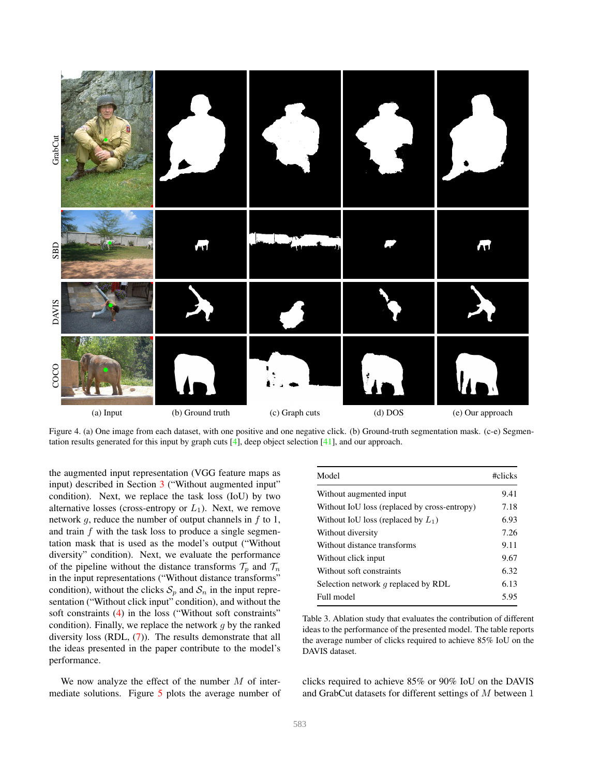<span id="page-6-2"></span>

Figure 4. (a) One image from each dataset, with one positive and one negative click. (b) Ground-truth segmentation mask. (c-e) Segmentation results generated for this input by graph cuts [\[4\]](#page-8-2), deep object selection [\[41\]](#page-8-15), and our approach.

the augmented input representation (VGG feature maps as input) described in Section [3](#page-1-0) ("Without augmented input" condition). Next, we replace the task loss (IoU) by two alternative losses (cross-entropy or  $L_1$ ). Next, we remove network  $g$ , reduce the number of output channels in  $f$  to 1, and train  $f$  with the task loss to produce a single segmentation mask that is used as the model's output ("Without diversity" condition). Next, we evaluate the performance of the pipeline without the distance transforms  $\mathcal{T}_n$  and  $\mathcal{T}_n$ in the input representations ("Without distance transforms" condition), without the clicks  $S_p$  and  $S_n$  in the input representation ("Without click input" condition), and without the soft constraints [\(4\)](#page-3-2) in the loss ("Without soft constraints" condition). Finally, we replace the network  $g$  by the ranked diversity loss (RDL, [\(7\)](#page-3-3)). The results demonstrate that all the ideas presented in the paper contribute to the model's performance.

We now analyze the effect of the number  $M$  of intermediate solutions. Figure [5](#page-7-3) plots the average number of

<span id="page-6-1"></span><span id="page-6-0"></span>

| Model                                        | #clicks |
|----------------------------------------------|---------|
| Without augmented input                      | 9.41    |
| Without IoU loss (replaced by cross-entropy) | 7.18    |
| Without IoU loss (replaced by $L_1$ )        | 6.93    |
| Without diversity                            | 7.26    |
| Without distance transforms                  | 9.11    |
| Without click input                          | 9.67    |
| Without soft constraints                     | 6.32    |
| Selection network $q$ replaced by RDL        | 6.13    |
| Full model                                   | 5.95    |

Table 3. Ablation study that evaluates the contribution of different ideas to the performance of the presented model. The table reports the average number of clicks required to achieve 85% IoU on the DAVIS dataset.

clicks required to achieve 85% or 90% IoU on the DAVIS and GrabCut datasets for different settings of M between 1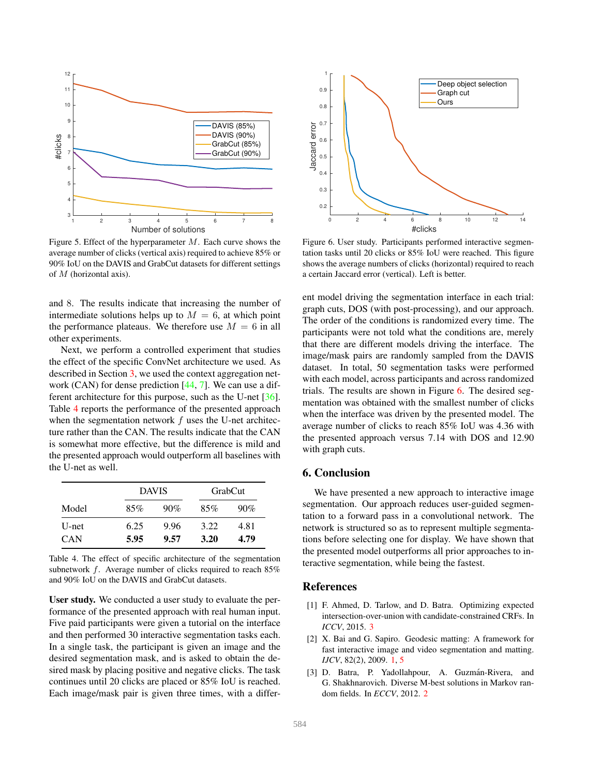<span id="page-7-6"></span>

Figure 5. Effect of the hyperparameter  $M$ . Each curve shows the average number of clicks (vertical axis) required to achieve 85% or 90% IoU on the DAVIS and GrabCut datasets for different settings of M (horizontal axis).

and 8. The results indicate that increasing the number of intermediate solutions helps up to  $M = 6$ , at which point the performance plateaus. We therefore use  $M = 6$  in all other experiments.

Next, we perform a controlled experiment that studies the effect of the specific ConvNet architecture we used. As described in Section [3,](#page-1-0) we used the context aggregation network (CAN) for dense prediction [\[44,](#page-8-27) [7\]](#page-8-28). We can use a different architecture for this purpose, such as the U-net [\[36\]](#page-8-42). Table [4](#page-7-4) reports the performance of the presented approach when the segmentation network  $f$  uses the U-net architecture rather than the CAN. The results indicate that the CAN is somewhat more effective, but the difference is mild and the presented approach would outperform all baselines with the U-net as well.

|            |      | <b>DAVIS</b> | GrabCut |      |  |  |
|------------|------|--------------|---------|------|--|--|
| Model      | 85%  | 90%          | 85%     | 90%  |  |  |
| U-net      | 6.25 | 9.96         | 3.22    | 4.81 |  |  |
| <b>CAN</b> | 5.95 | 9.57         | 3.20    | 4.79 |  |  |

Table 4. The effect of specific architecture of the segmentation subnetwork f. Average number of clicks required to reach 85% and 90% IoU on the DAVIS and GrabCut datasets.

User study. We conducted a user study to evaluate the performance of the presented approach with real human input. Five paid participants were given a tutorial on the interface and then performed 30 interactive segmentation tasks each. In a single task, the participant is given an image and the desired segmentation mask, and is asked to obtain the desired mask by placing positive and negative clicks. The task continues until 20 clicks are placed or 85% IoU is reached. Each image/mask pair is given three times, with a differ-



<span id="page-7-5"></span><span id="page-7-3"></span>Figure 6. User study. Participants performed interactive segmentation tasks until 20 clicks or 85% IoU were reached. This figure shows the average numbers of clicks (horizontal) required to reach a certain Jaccard error (vertical). Left is better.

ent model driving the segmentation interface in each trial: graph cuts, DOS (with post-processing), and our approach. The order of the conditions is randomized every time. The participants were not told what the conditions are, merely that there are different models driving the interface. The image/mask pairs are randomly sampled from the DAVIS dataset. In total, 50 segmentation tasks were performed with each model, across participants and across randomized trials. The results are shown in Figure [6.](#page-7-5) The desired segmentation was obtained with the smallest number of clicks when the interface was driven by the presented model. The average number of clicks to reach 85% IoU was 4.36 with the presented approach versus 7.14 with DOS and 12.90 with graph cuts.

# 6. Conclusion

<span id="page-7-4"></span>We have presented a new approach to interactive image segmentation. Our approach reduces user-guided segmentation to a forward pass in a convolutional network. The network is structured so as to represent multiple segmentations before selecting one for display. We have shown that the presented model outperforms all prior approaches to interactive segmentation, while being the fastest.

# References

- <span id="page-7-2"></span>[1] F. Ahmed, D. Tarlow, and D. Batra. Optimizing expected intersection-over-union with candidate-constrained CRFs. In *ICCV*, 2015. [3](#page-2-1)
- <span id="page-7-0"></span>[2] X. Bai and G. Sapiro. Geodesic matting: A framework for fast interactive image and video segmentation and matting. *IJCV*, 82(2), 2009. [1,](#page-0-0) [5](#page-4-2)
- <span id="page-7-1"></span>[3] D. Batra, P. Yadollahpour, A. Guzmán-Rivera, and G. Shakhnarovich. Diverse M-best solutions in Markov random fields. In *ECCV*, 2012. [2](#page-1-1)